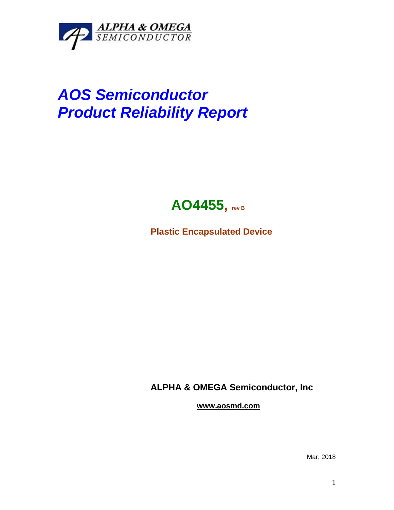

## *AOS Semiconductor Product Reliability Report*



**Plastic Encapsulated Device**

**ALPHA & OMEGA Semiconductor, Inc**

**www.aosmd.com**

Mar, 2018